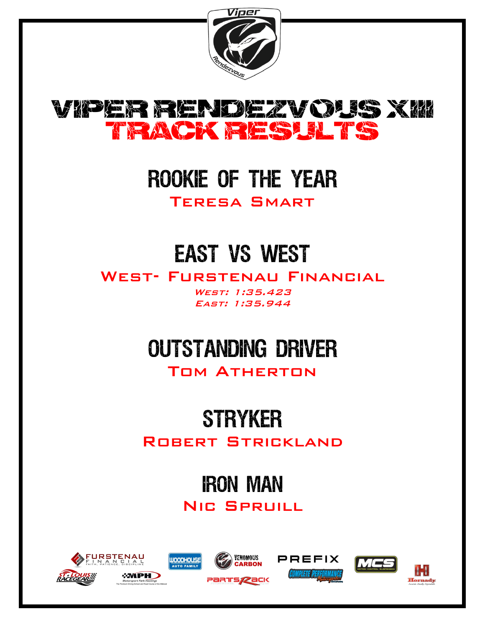



## ROOKIE OF THE YEAR

Teresa Smart

# **EAST VS WEST**

WEST- FURSTENAU FINANCIAL

West: 1:35.423 East: 1:35.944

# **OUTSTANDING DRIVER**

Tom Atherton

## **STRYKER**

ROBERT STRICKLAND

# **IRON MAN**

Nic Spruill













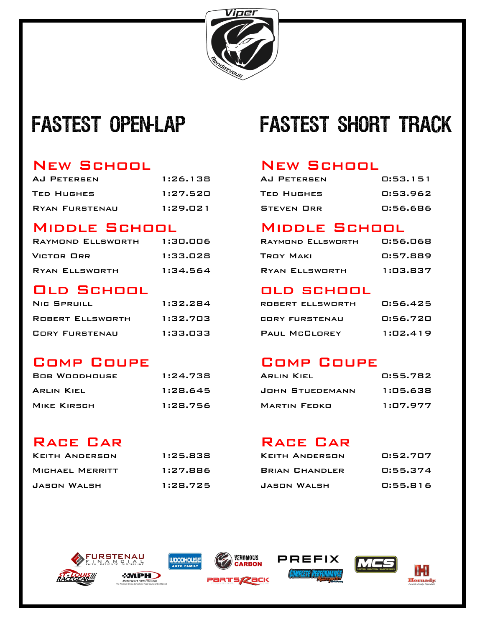

## FASTEST OPEN-LAP

### New School New School

| AJ PETERSEN       | 1:26.138 | AJ PETERSEN | 0:53.151 |
|-------------------|----------|-------------|----------|
| <b>TED HUGHES</b> | 1:27.520 | TED HUGHES  | 0:53.962 |
| RYAN FURSTENAU    | 1:29.021 | STEVEN ORR  | 0:56.686 |

### Middle School Middle School

| RAYMOND ELLSWORTH | 1:30.006 | RAYMOND ELLSWORTH | 0:56.068 |
|-------------------|----------|-------------------|----------|
| <b>VICTOR ORR</b> | 1:33.028 | <b>TROY MAKI</b>  | 0:57.889 |
| RYAN ELLSWORTH    | 1:34.564 | RYAN ELLSWORTH    | 1:03.837 |

### Old School old school

| NIC SPRUILL      | 1:32.284 | ROBERT ELLSWORTH | 0:56.425 |
|------------------|----------|------------------|----------|
| ROBERT ELLSWORTH | 1:32.703 | CORY FURSTENAU   | 0:56.720 |
| CORY FURSTENAU   | 1:33.033 | PAUL MCCLOREY    | 1:02.419 |

### Comp Coupe Comp Coupe

| <b>BOB WOODHOUSE</b> | 1:24.738 | <b>ARLIN KIEL</b>   | 0:55.782 |
|----------------------|----------|---------------------|----------|
| <b>ARLIN KIEL</b>    | 1:28.645 | JOHN STUEDEMANN     | 1:05.638 |
| MIKE KIRSCH          | 1:28.756 | <b>MARTIN FEDKO</b> | 1:07.977 |

### RACE CAR RACE CAR

| <b>KEITH ANDERSON</b> | 1:25.838 | KEITH ANDERSON        | 0:52.707 |
|-----------------------|----------|-----------------------|----------|
| MICHAEL MERRITT       | 1:27.886 | <b>BRIAN CHANDLER</b> | 0:55.374 |
| JASON WALSH           | 1:28.725 | JASON WALSH           | 0:55.816 |

## **FASTEST SHORT TRACK**

| AJ PETERSEN | 0:53.151 |
|-------------|----------|
| TED HUGHES. | 0:53.962 |
| Steven Orr  | 0:56.686 |

| RAYMOND ELLSWORTH | 0:56.068 |
|-------------------|----------|
| TROY MAKI         | 0:57.889 |
| RYAN ELLSWORTH    | 1:03.837 |

| <b>NIC SPRUILL</b> | 1:32.284 | ROBERT ELLSWORTH     | 0:56.425 |
|--------------------|----------|----------------------|----------|
| ROBERT ELLSWORTH   | 1:32.703 | CORY FURSTENAU       | 0:56.720 |
| CORY FURSTENAU     | 1:33.033 | <b>PAUL MCCLOREY</b> | 1:02.419 |

| ARLIN KIEL      | 0:55.782 |
|-----------------|----------|
| JOHN STUEDEMANN | 1:05.638 |
| MARTIN FEDKO    | 1:07.977 |

| KEITH ANDERSON        | 0:52.707 |
|-----------------------|----------|
| <b>BRIAN CHANDLER</b> | 0:55.374 |
| JASON WALSH           | 0:55.816 |













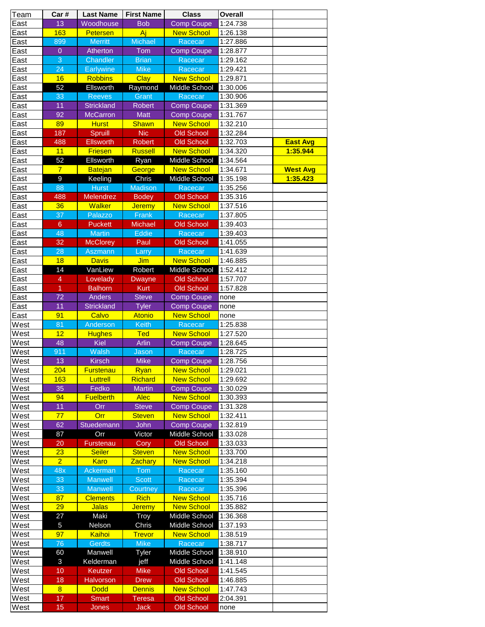| Team | Car#           | <b>Last Name</b>  | <b>First Name</b> | <b>Class</b>         | <b>Overall</b> |                 |
|------|----------------|-------------------|-------------------|----------------------|----------------|-----------------|
| East | 13             | Woodhouse         | <b>Bob</b>        | <b>Comp Coupe</b>    | 1:24.738       |                 |
| East | 163            | <b>Petersen</b>   | Aj                | <b>New School</b>    | 1:26.138       |                 |
| East | 899            | <b>Merritt</b>    | <b>Michael</b>    | Racecar              | 1:27.886       |                 |
| East | $\overline{0}$ | Atherton          | Tom               | <b>Comp Coupe</b>    | 1:28.877       |                 |
| East | 3              | Chandler          | <b>Brian</b>      | Racecar              | 1:29.162       |                 |
| East | 24             | <b>Earlywine</b>  | <b>Mike</b>       | Racecar              | 1:29.421       |                 |
| East | 16             | <b>Robbins</b>    | <b>Clay</b>       | <b>New School</b>    | 1:29.871       |                 |
| East | 52             | Ellsworth         | Raymond           | Middle School        | 1:30.006       |                 |
| East | 33             | <b>Reeves</b>     | Grant             | Racecar              | 1:30.906       |                 |
| East | 11             | <b>Strickland</b> | <b>Robert</b>     | <b>Comp Coupe</b>    | 1:31.369       |                 |
| East | 92             | <b>McCarron</b>   | <b>Matt</b>       | <b>Comp Coupe</b>    | 1:31.767       |                 |
| East | 89             | <b>Hurst</b>      | <b>Shawn</b>      | <b>New School</b>    | 1:32.210       |                 |
| East | 187            | Spruill           | <b>Nic</b>        | <b>Old School</b>    | 1:32.284       |                 |
| East | 488            | <b>Ellsworth</b>  | <b>Robert</b>     | <b>Old School</b>    | 1:32.703       | <b>East Avg</b> |
| East | 11             | <b>Friesen</b>    | <b>Russell</b>    | <b>New School</b>    | 1:34.320       | 1:35.944        |
| East | 52             | <b>Ellsworth</b>  | Ryan              | <b>Middle School</b> | 1:34.564       |                 |
|      | $\overline{7}$ |                   |                   | <b>New School</b>    | 1:34.671       |                 |
| East | 9              | <b>Batejan</b>    | George            |                      |                | <b>West Avg</b> |
| East |                | Keeling           | Chris             | Middle School        | 1:35.198       | 1:35.423        |
| East | 88             | <b>Hurst</b>      | <b>Madison</b>    | Racecar              | 1:35.256       |                 |
| East | 488            | <b>Melendrez</b>  | <b>Bodey</b>      | <b>Old School</b>    | 1:35.316       |                 |
| East | 36             | <b>Walker</b>     | <b>Jeremy</b>     | <b>New School</b>    | 1:37.516       |                 |
| East | 37             | Palazzo           | Frank             | Racecar              | 1:37.805       |                 |
| East | $6\phantom{a}$ | <b>Puckett</b>    | <b>Michael</b>    | <b>Old School</b>    | 1:39.403       |                 |
| East | 48             | <b>Martin</b>     | <b>Eddie</b>      | Racecar              | 1:39.403       |                 |
| East | 32             | <b>McClorey</b>   | Paul              | <b>Old School</b>    | 1:41.055       |                 |
| East | 28             | <b>Aszmann</b>    | Larry             | Racecar              | 1:41.639       |                 |
| East | 18             | <b>Davis</b>      | Jim               | <b>New School</b>    | 1:46.885       |                 |
| East | 14             | VanLiew           | Robert            | Middle School        | 1:52.412       |                 |
| East | 4              | Lovelady          | <b>Dwayne</b>     | <b>Old School</b>    | 1:57.707       |                 |
| East | 1              | <b>Balhorn</b>    | <b>Kurt</b>       | <b>Old School</b>    | 1:57.828       |                 |
| East | 72             | <b>Anders</b>     | <b>Steve</b>      | <b>Comp Coupe</b>    | none           |                 |
| East | 11             | <b>Strickland</b> | <b>Tyler</b>      | <b>Comp Coupe</b>    | none           |                 |
| East | 91             | Calvo             | <b>Atonio</b>     | <b>New School</b>    | none           |                 |
| West | 81             | Anderson          | <b>Keith</b>      | Racecar              | 1:25.838       |                 |
| West | 12             | <b>Hughes</b>     | <b>Ted</b>        | <b>New School</b>    | 1:27.520       |                 |
| West | 48             | <b>Kiel</b>       | <b>Arlin</b>      | <b>Comp Coupe</b>    | 1:28.645       |                 |
| West | 911            | Walsh             | Jason             | Racecar              | 1:28.725       |                 |
| West | 13             | <b>Kirsch</b>     | <b>Mike</b>       | <b>Comp Coupe</b>    | 1:28.756       |                 |
| West | 204            | <b>Furstenau</b>  | Ryan              | <b>New School</b>    | 1:29.021       |                 |
| West | 163            | Luttrell          | <b>Richard</b>    | <b>New School</b>    | 1:29.692       |                 |
| West | 35             | Fedko             | <b>Martin</b>     | <b>Comp Coupe</b>    | 1:30.029       |                 |
| West | 94             | <b>Fuelberth</b>  | <b>Alec</b>       | <b>New School</b>    | 1:30.393       |                 |
| West | 11             | Orr               | <b>Steve</b>      | <b>Comp Coupe</b>    | 1:31.328       |                 |
| West | 77             | Orr               | <b>Steven</b>     | <b>New School</b>    | 1:32.411       |                 |
| West | 62             | Stuedemann        | <b>John</b>       | <b>Comp Coupe</b>    | 1:32.819       |                 |
| West | 87             | Orr               | Victor            | Middle School        | 1:33.028       |                 |
| West | 20             | Furstenau         | Cory              | <b>Old School</b>    | 1:33.033       |                 |
| West | 23             | <b>Seiler</b>     | <b>Steven</b>     | <b>New School</b>    | 1:33.700       |                 |
| West | $\overline{2}$ | <b>Karo</b>       | <b>Zachary</b>    | <b>New School</b>    | 1:34.218       |                 |
| West | 48x            | Ackerman          | <b>Tom</b>        | Racecar              | 1:35.160       |                 |
| West | 33             | <b>Manwell</b>    | <b>Scott</b>      | Racecar              | 1:35.394       |                 |
|      | 33             | <b>Manwell</b>    |                   | Racecar              | 1:35.396       |                 |
| West |                |                   | Courtney          |                      |                |                 |
| West | 87             | <b>Clements</b>   | <b>Rich</b>       | <b>New School</b>    | 1:35.716       |                 |
| West | 29             | <b>Jalas</b>      | <b>Jeremy</b>     | <b>New School</b>    | 1:35.882       |                 |
| West | 27             | Maki              | Troy              | <b>Middle School</b> | 1:36.368       |                 |
| West | 5              | Nelson            | Chris             | <b>Middle School</b> | 1:37.193       |                 |
| West | 97             | Kaihoi            | <b>Trevor</b>     | <b>New School</b>    | 1:38.519       |                 |
| West | 76             | <b>Gerdts</b>     | <b>Mike</b>       | Racecar              | 1:38.717       |                 |
| West | 60             | Manwell           | Tyler             | <b>Middle School</b> | 1:38.910       |                 |
| West | 3              | Kelderman         | jeff              | Middle School        | 1:41.148       |                 |
| West | 10             | Keutzer           | <b>Mike</b>       | <b>Old School</b>    | 1:41.545       |                 |
| West | 18             | <b>Halvorson</b>  | <b>Drew</b>       | <b>Old School</b>    | 1:46.885       |                 |
| West | $\overline{8}$ | <b>Dodd</b>       | <b>Dennis</b>     | <b>New School</b>    | 1:47.743       |                 |
| West | 17             | <b>Smart</b>      | <b>Teresa</b>     | <b>Old School</b>    | 2:04.391       |                 |
| West | 15             | <b>Jones</b>      | <b>Jack</b>       | <b>Old School</b>    | none           |                 |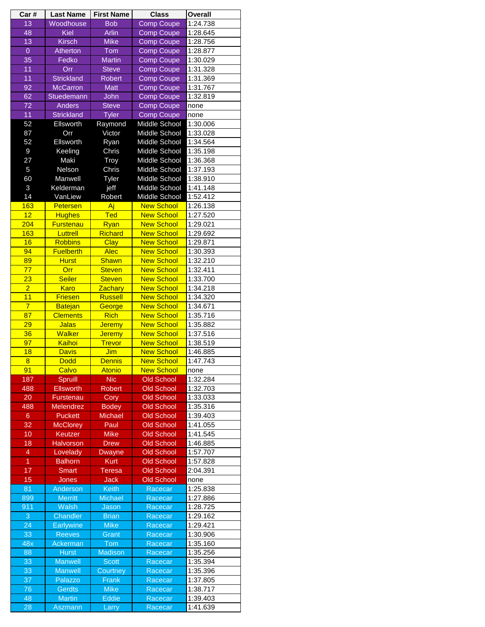| Car#            | <b>Last Name</b>  | <b>First Name</b> | <b>Class</b>                       | <b>Overall</b>       |
|-----------------|-------------------|-------------------|------------------------------------|----------------------|
| 13              | Woodhouse         | <b>Bob</b>        | <b>Comp Coupe</b>                  | 1:24.738             |
| 48              | <b>Kiel</b>       | <b>Arlin</b>      | <b>Comp Coupe</b>                  | 1:28.645             |
| 13              | <b>Kirsch</b>     | <b>Mike</b>       | <b>Comp Coupe</b>                  | 1:28.756             |
| $\overline{0}$  | Atherton          | Tom               | <b>Comp Coupe</b>                  | 1:28.877             |
| 35              | Fedko             | <b>Martin</b>     | <b>Comp Coupe</b>                  | 1:30.029             |
| 11              | Orr               | <b>Steve</b>      | <b>Comp Coupe</b>                  | 1:31.328             |
| 11              | <b>Strickland</b> | <b>Robert</b>     | <b>Comp Coupe</b>                  | 1:31.369             |
| 92              | <b>McCarron</b>   | <b>Matt</b>       | <b>Comp Coupe</b>                  | 1:31.767             |
| 62              | Stuedemann        | John              | <b>Comp Coupe</b>                  | 1:32.819             |
| 72              | <b>Anders</b>     | <b>Steve</b>      | <b>Comp Coupe</b>                  | none                 |
| 11              | <b>Strickland</b> | <b>Tyler</b>      | <b>Comp Coupe</b>                  | none                 |
| 52              | Ellsworth         | Raymond           | <b>Middle School</b>               | 1:30.006             |
| 87              | Orr               | Victor            | Middle School                      | 1:33.028             |
| 52              | Ellsworth         | Ryan              | Middle School                      | 1:34.564             |
| $\overline{9}$  | Keeling           | Chris             | <b>Middle School</b>               | 1:35.198             |
| 27              | Maki              | Troy              | Middle School                      | 1:36.368             |
| 5               | Nelson            | Chris             | <b>Middle School</b>               | 1:37.193             |
| 60              | Manwell           | <b>Tyler</b>      | <b>Middle School</b>               | 1:38.910             |
| 3               | Kelderman         | jeff              | <b>Middle School</b>               | 1:41.148             |
| 14              |                   |                   |                                    |                      |
| 163             | VanLiew           | Robert<br>Aj      | Middle School<br><b>New School</b> | 1:52.412<br>1:26.138 |
|                 | <b>Petersen</b>   |                   |                                    |                      |
| 12              | <b>Hughes</b>     | <b>Ted</b>        | <b>New School</b>                  | 1:27.520             |
| 204             | <b>Furstenau</b>  | Ryan              | <b>New School</b>                  | 1:29.021             |
| 163             | <b>Luttrell</b>   | Richard           | <b>New School</b>                  | 1:29.692             |
| 16              | <b>Robbins</b>    | <b>Clay</b>       | <b>New School</b>                  | 1:29.871             |
| 94              | <b>Fuelberth</b>  | <b>Alec</b>       | <b>New School</b>                  | 1:30.393             |
| 89              | <b>Hurst</b>      | <b>Shawn</b>      | <b>New School</b>                  | 1:32.210             |
| 77              | Orr               | <b>Steven</b>     | <b>New School</b>                  | 1:32.411             |
| $\overline{23}$ | <b>Seiler</b>     | <b>Steven</b>     | <b>New School</b>                  | 1:33.700             |
| $\overline{2}$  | <b>Karo</b>       | <b>Zachary</b>    | <b>New School</b>                  | 1:34.218             |
| 11              | <b>Friesen</b>    | Russell           | <b>New School</b>                  | 1:34.320             |
| $\overline{7}$  | <b>Batejan</b>    | George            | <b>New School</b>                  | 1:34.671             |
| 87              | <b>Clements</b>   | <b>Rich</b>       | <b>New School</b>                  | 1:35.716             |
| 29              | <b>Jalas</b>      | <b>Jeremy</b>     | <b>New School</b>                  | 1:35.882             |
| 36              | <b>Walker</b>     | <b>Jeremy</b>     | <b>New School</b>                  | 1:37.516             |
| 97              | Kaihoi            | <b>Trevor</b>     | <b>New School</b>                  | 1:38.519             |
| 18              | <b>Davis</b>      | Jim               | <b>New School</b>                  | 1:46.885             |
| $\overline{8}$  | <b>Dodd</b>       | <b>Dennis</b>     | <b>New School</b>                  | 1:47.743             |
| 91              | Calvo             | <b>Atonio</b>     | <b>New School</b>                  | none                 |
| 187             | Spruill           | <b>Nic</b>        | <b>Old School</b>                  | 1:32.284             |
| 488             | <b>Ellsworth</b>  | <b>Robert</b>     | <b>Old School</b>                  | 1:32.703             |
| 20              | Furstenau         | Cory              | <b>Old School</b>                  | 1:33.033             |
| 488             | <b>Melendrez</b>  | <b>Bodey</b>      | <b>Old School</b>                  | 1:35.316             |
| $6\phantom{a}$  | <b>Puckett</b>    | <b>Michael</b>    | <b>Old School</b>                  | 1:39.403             |
| 32              | <b>McClorey</b>   | Paul              | <b>Old School</b>                  | 1:41.055             |
| 10              | <b>Keutzer</b>    | <b>Mike</b>       | <b>Old School</b>                  | 1:41.545             |
| 18              | <b>Halvorson</b>  | <b>Drew</b>       | <b>Old School</b>                  | 1:46.885             |
| 4               | Lovelady          | <b>Dwayne</b>     | <b>Old School</b>                  | 1:57.707             |
| $\overline{1}$  | <b>Balhorn</b>    | <b>Kurt</b>       | <b>Old School</b>                  | 1:57.828             |
| 17              | Smart             | <b>Teresa</b>     | <b>Old School</b>                  | 2:04.391             |
| 15              |                   | <b>Jack</b>       | <b>Old School</b>                  | none                 |
| 81              | Jones             |                   |                                    |                      |
|                 | Anderson          | <b>Keith</b>      | Racecar                            | 1:25.838             |
| 899             | <b>Merritt</b>    | <b>Michael</b>    | Racecar                            | 1:27.886             |
| 911             | <b>Walsh</b>      | Jason             | Racecar                            | 1:28.725             |
| 3               | <b>Chandler</b>   | <b>Brian</b>      | Racecar                            | 1:29.162             |
| 24              | <b>Earlywine</b>  | <b>Mike</b>       | Racecar                            | 1:29.421             |
| 33              | <b>Reeves</b>     | Grant             | Racecar                            | 1:30.906             |
| 48x             | Ackerman          | Tom               | Racecar                            | 1:35.160             |
| 88              | <b>Hurst</b>      | <b>Madison</b>    | Racecar                            | 1:35.256             |
| 33              | <b>Manwell</b>    | <b>Scott</b>      | Racecar                            | 1:35.394             |
| 33              | <b>Manwell</b>    | Courtney          | Racecar                            | 1:35.396             |
| $\overline{37}$ | Palazzo           | Frank             | Racecar                            | 1:37.805             |
| 76              | <b>Gerdts</b>     | <b>Mike</b>       | Racecar                            | 1:38.717             |
| 48              | <b>Martin</b>     | <b>Eddie</b>      | Racecar                            | 1:39.403             |
| 28              | Aszmann           | Larry             | Racecar                            | 1:41.639             |